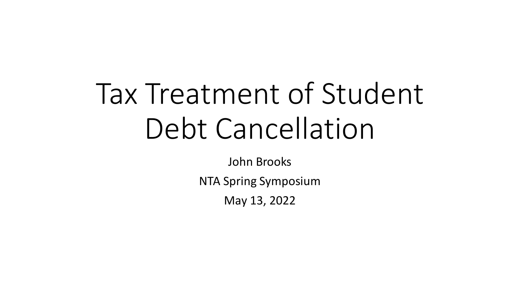# Tax Treatment of Student Debt Cancellation

John Brooks

NTA Spring Symposium

May 13, 2022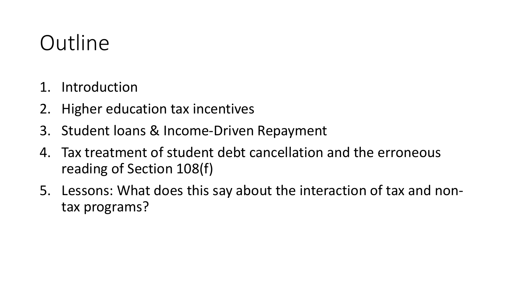# **Outline**

- 1. Introduction
- 2. Higher education tax incentives
- 3. Student loans & Income-Driven Repayment
- 4. Tax treatment of student debt cancellation and the erroneous reading of Section 108(f)
- 5. Lessons: What does this say about the interaction of tax and nontax programs?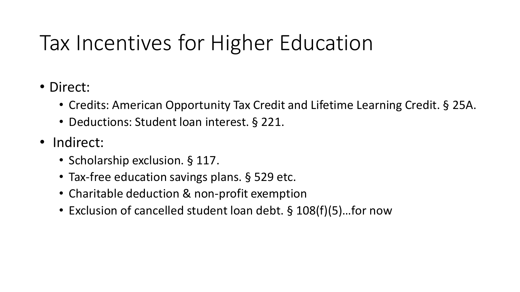# Tax Incentives for Higher Education

- Direct:
	- Credits: American Opportunity Tax Credit and Lifetime Learning Credit. § 25A.
	- Deductions: Student loan interest. § 221.
- Indirect:
	- Scholarship exclusion. § 117.
	- Tax-free education savings plans. § 529 etc.
	- Charitable deduction & non-profit exemption
	- Exclusion of cancelled student loan debt. § 108(f)(5)…for now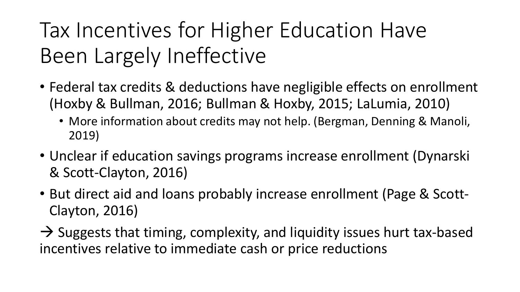# Tax Incentives for Higher Education Have Been Largely Ineffective

- Federal tax credits & deductions have negligible effects on enrollment (Hoxby & Bullman, 2016; Bullman & Hoxby, 2015; LaLumia, 2010)
	- More information about credits may not help. (Bergman, Denning & Manoli, 2019)
- Unclear if education savings programs increase enrollment (Dynarski & Scott-Clayton, 2016)
- But direct aid and loans probably increase enrollment (Page & Scott-Clayton, 2016)
- $\rightarrow$  Suggests that timing, complexity, and liquidity issues hurt tax-based incentives relative to immediate cash or price reductions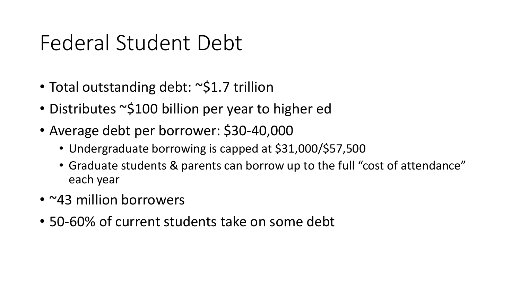### Federal Student Debt

- Total outstanding debt: ~\$1.7 trillion
- Distributes ~\$100 billion per year to higher ed
- Average debt per borrower: \$30-40,000
	- Undergraduate borrowing is capped at \$31,000/\$57,500
	- Graduate students & parents can borrow up to the full "cost of attendance" each year
- ~43 million borrowers
- 50-60% of current students take on some debt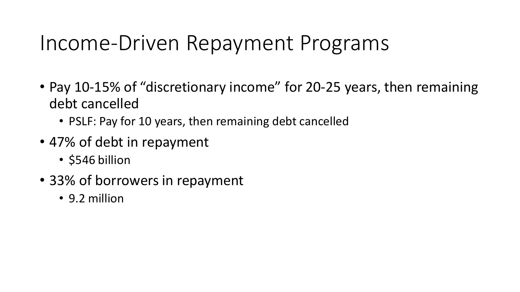#### Income-Driven Repayment Programs

- Pay 10-15% of "discretionary income" for 20-25 years, then remaining debt cancelled
	- PSLF: Pay for 10 years, then remaining debt cancelled
- 47% of debt in repayment
	- \$546 billion
- 33% of borrowers in repayment
	- 9.2 million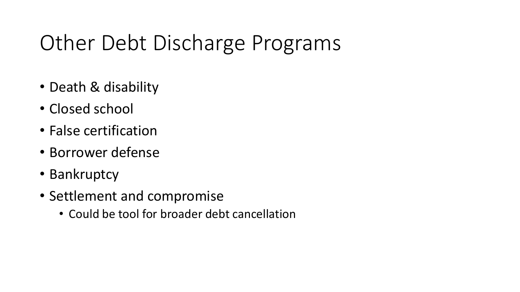# Other Debt Discharge Programs

- Death & disability
- Closed school
- False certification
- Borrower defense
- Bankruptcy
- Settlement and compromise
	- Could be tool for broader debt cancellation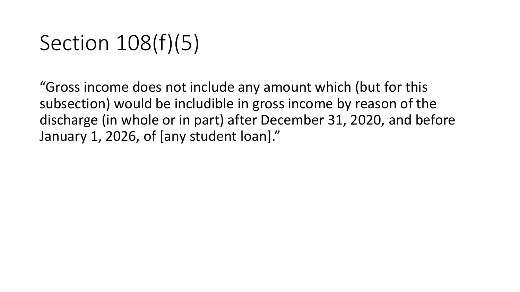# Section 108(f)(5)

"Gross income does not include any amount which (but for this subsection) would be includible in gross income by reason of the discharge (in whole or in part) after December 31, 2020, and before January 1, 2026, of [any student loan]."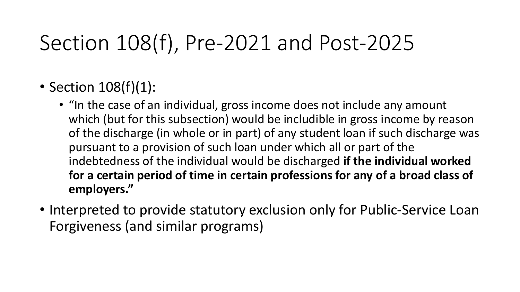# Section 108(f), Pre-2021 and Post-2025

#### • Section 108(f)(1):

- "In the case of an individual, gross income does not include any amount which (but for this subsection) would be includible in gross income by reason of the discharge (in whole or in part) of any student loan if such discharge was pursuant to a provision of such loan under which all or part of the indebtedness of the individual would be discharged **if the individual worked for a certain period of time in certain professions for any of a broad class of employers."**
- Interpreted to provide statutory exclusion only for Public-Service Loan Forgiveness (and similar programs)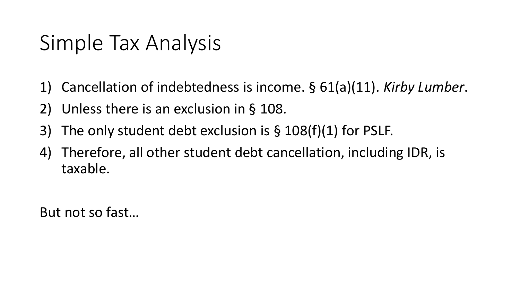#### Simple Tax Analysis

- 1) Cancellation of indebtedness is income. § 61(a)(11). *Kirby Lumber*.
- 2) Unless there is an exclusion in § 108.
- 3) The only student debt exclusion is § 108(f)(1) for PSLF.
- 4) Therefore, all other student debt cancellation, including IDR, is taxable.

But not so fast…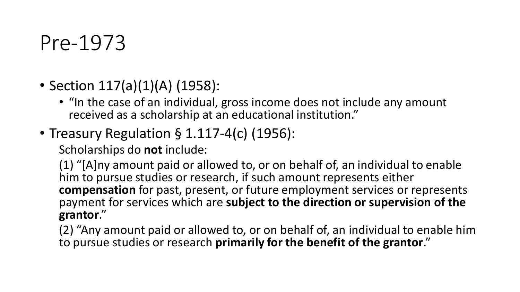#### Pre-1973

- Section 117(a)(1)(A) (1958):
	- "In the case of an individual, gross income does not include any amount received as a scholarship at an educational institution."
- Treasury Regulation § 1.117-4(c) (1956):

Scholarships do **not** include:

(1) "[A]ny amount paid or allowed to, or on behalf of, an individual to enable him to pursue studies or research, if such amount represents either **compensation** for past, present, or future employment services or represents payment for services which are **subject to the direction or supervision of the grantor**."

(2) "Any amount paid or allowed to, or on behalf of, an individual to enable him to pursue studies or research **primarily for the benefit of the grantor**."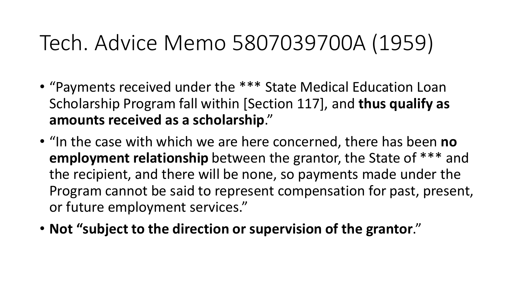## Tech. Advice Memo 5807039700A (1959)

- "Payments received under the \*\*\* State Medical Education Loan Scholarship Program fall within [Section 117], and **thus qualify as amounts received as a scholarship**."
- "In the case with which we are here concerned, there has been **no employment relationship** between the grantor, the State of \*\*\* and the recipient, and there will be none, so payments made under the Program cannot be said to represent compensation for past, present, or future employment services."
- **Not "subject to the direction or supervision of the grantor**."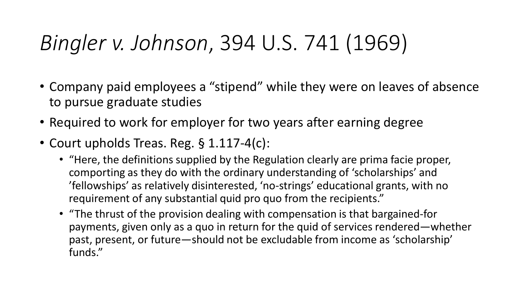# *Bingler v. Johnson*, 394 U.S. 741 (1969)

- Company paid employees a "stipend" while they were on leaves of absence to pursue graduate studies
- Required to work for employer for two years after earning degree
- Court upholds Treas. Reg. § 1.117-4(c):
	- "Here, the definitions supplied by the Regulation clearly are prima facie proper, comporting as they do with the ordinary understanding of 'scholarships' and 'fellowships' as relatively disinterested, 'no-strings' educational grants, with no requirement of any substantial quid pro quo from the recipients."
	- "The thrust of the provision dealing with compensation is that bargained-for payments, given only as a quo in return for the quid of services rendered—whether past, present, or future—should not be excludable from income as 'scholarship' funds."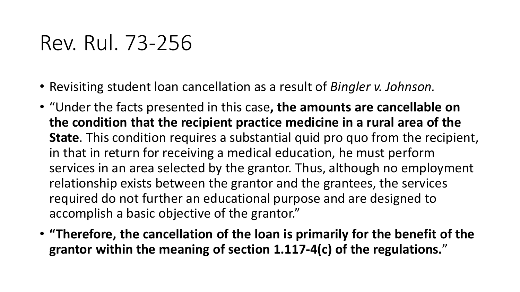#### Rev. Rul. 73-256

- Revisiting student loan cancellation as a result of *Bingler v. Johnson.*
- "Under the facts presented in this case**, the amounts are cancellable on the condition that the recipient practice medicine in a rural area of the State**. This condition requires a substantial quid pro quo from the recipient, in that in return for receiving a medical education, he must perform services in an area selected by the grantor. Thus, although no employment relationship exists between the grantor and the grantees, the services required do not further an educational purpose and are designed to accomplish a basic objective of the grantor."
- **"Therefore, the cancellation of the loan is primarily for the benefit of the grantor within the meaning of section 1.117-4(c) of the regulations.**"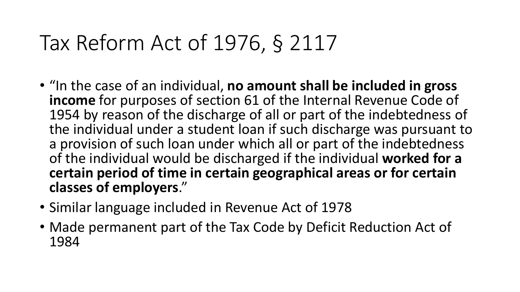# Tax Reform Act of 1976, § 2117

- "In the case of an individual, **no amount shall be included in gross income** for purposes of section 61 of the Internal Revenue Code of 1954 by reason of the discharge of all or part of the indebtedness of the individual under a student loan if such discharge was pursuant to a provision of such loan under which all or part of the indebtedness of the individual would be discharged if the individual **worked for a certain period of time in certain geographical areas or for certain classes of employers**."
- Similar language included in Revenue Act of 1978
- Made permanent part of the Tax Code by Deficit Reduction Act of 1984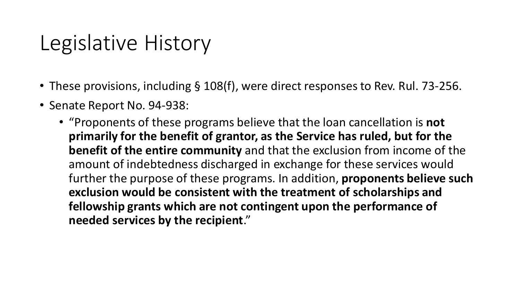#### Legislative History

- These provisions, including § 108(f), were direct responses to Rev. Rul. 73-256.
- Senate Report No. 94-938:
	- "Proponents of these programs believe that the loan cancellation is **not primarily for the benefit of grantor, as the Service has ruled, but for the benefit of the entire community** and that the exclusion from income of the amount of indebtedness discharged in exchange for these services would further the purpose of these programs. In addition, **proponents believe such exclusion would be consistent with the treatment of scholarships and fellowship grants which are not contingent upon the performance of needed services by the recipient**."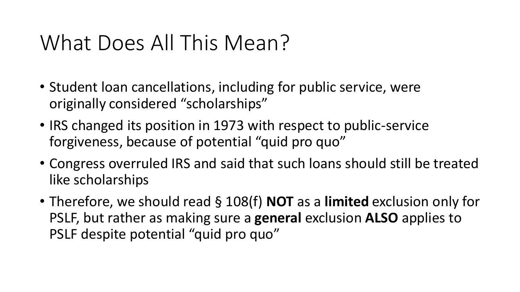### What Does All This Mean?

- Student loan cancellations, including for public service, were originally considered "scholarships"
- IRS changed its position in 1973 with respect to public-service forgiveness, because of potential "quid pro quo"
- Congress overruled IRS and said that such loans should still be treated like scholarships
- Therefore, we should read § 108(f) **NOT** as a **limited** exclusion only for PSLF, but rather as making sure a **general** exclusion **ALSO** applies to PSLF despite potential "quid pro quo"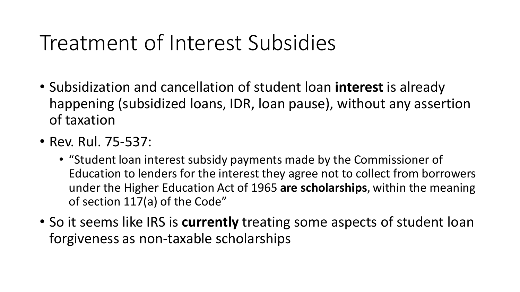### Treatment of Interest Subsidies

- Subsidization and cancellation of student loan **interest** is already happening (subsidized loans, IDR, loan pause), without any assertion of taxation
- Rev. Rul. 75-537:
	- "Student loan interest subsidy payments made by the Commissioner of Education to lenders for the interest they agree not to collect from borrowers under the Higher Education Act of 1965 **are scholarships**, within the meaning of section 117(a) of the Code"
- So it seems like IRS is **currently** treating some aspects of student loan forgiveness as non-taxable scholarships